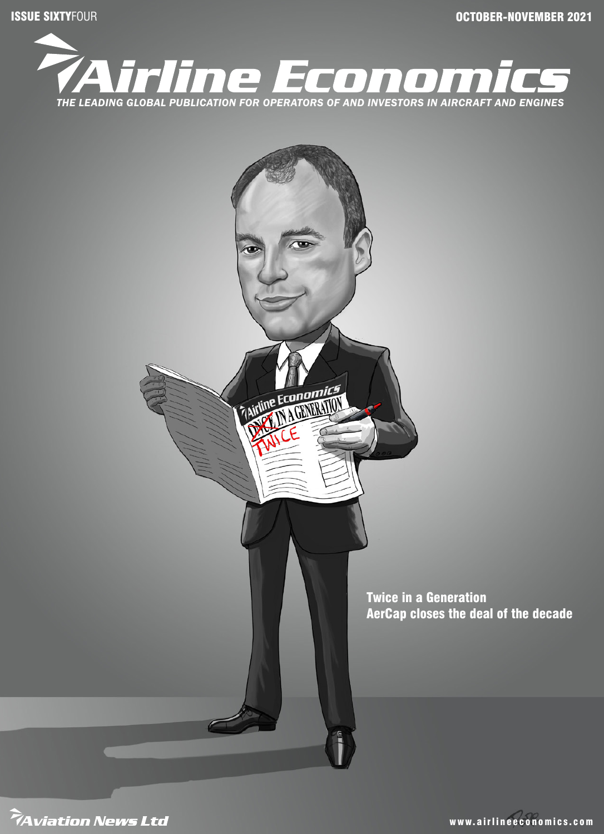ISSUE SIXTYFOUR OCTOBER-NOVEMBER 2021





www.airlineeconomics.com